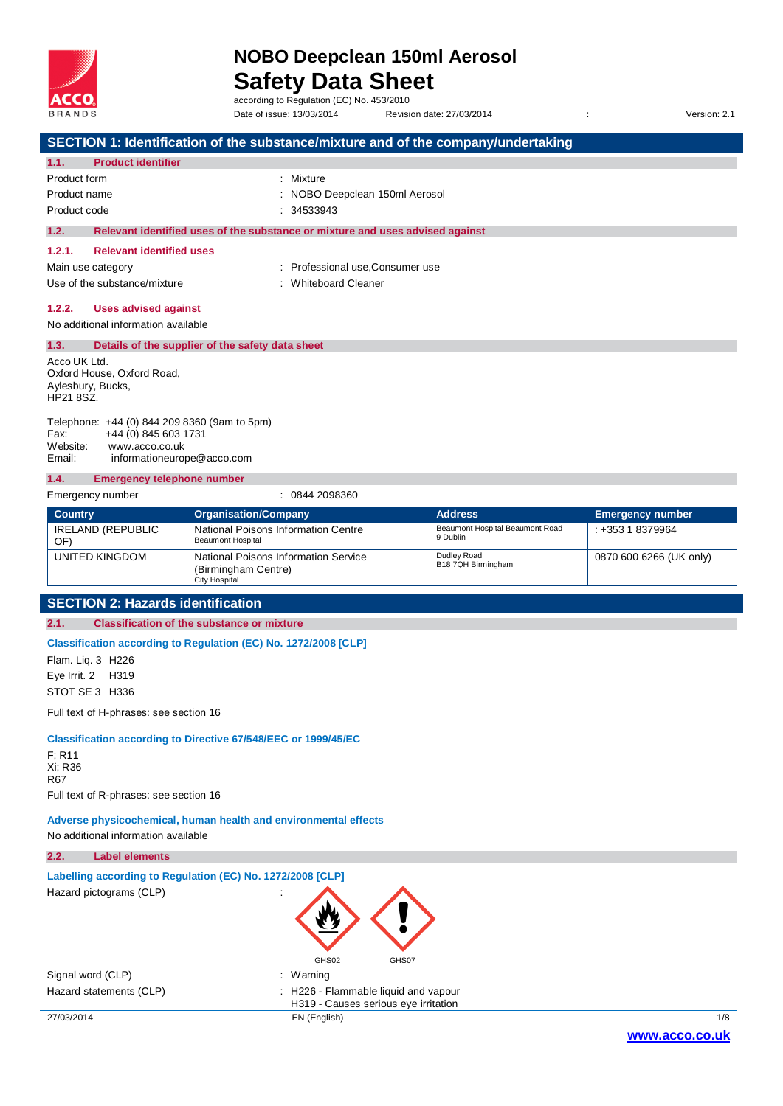

Date of issue: 13/03/2014 Revision date: 27/03/2014 Version: 2.1

|                                                                 |                                                                       |                                                                 | SECTION 1: Identification of the substance/mixture and of the company/undertaking |                                                   |                         |
|-----------------------------------------------------------------|-----------------------------------------------------------------------|-----------------------------------------------------------------|-----------------------------------------------------------------------------------|---------------------------------------------------|-------------------------|
| 1.1.                                                            | <b>Product identifier</b>                                             |                                                                 |                                                                                   |                                                   |                         |
| Product form                                                    |                                                                       |                                                                 | : Mixture                                                                         |                                                   |                         |
| Product name                                                    |                                                                       |                                                                 | NOBO Deepclean 150ml Aerosol                                                      |                                                   |                         |
| Product code                                                    |                                                                       |                                                                 | 34533943                                                                          |                                                   |                         |
| 1.2.                                                            |                                                                       |                                                                 | Relevant identified uses of the substance or mixture and uses advised against     |                                                   |                         |
| 1.2.1.                                                          | <b>Relevant identified uses</b>                                       |                                                                 |                                                                                   |                                                   |                         |
| Main use category                                               |                                                                       |                                                                 | : Professional use, Consumer use                                                  |                                                   |                         |
|                                                                 | Use of the substance/mixture                                          |                                                                 | <b>Whiteboard Cleaner</b>                                                         |                                                   |                         |
| 1.2.2.                                                          | <b>Uses advised against</b>                                           |                                                                 |                                                                                   |                                                   |                         |
|                                                                 | No additional information available                                   |                                                                 |                                                                                   |                                                   |                         |
| 1.3.                                                            |                                                                       | Details of the supplier of the safety data sheet                |                                                                                   |                                                   |                         |
| Acco UK Ltd.                                                    |                                                                       |                                                                 |                                                                                   |                                                   |                         |
| Aylesbury, Bucks,                                               | Oxford House, Oxford Road,                                            |                                                                 |                                                                                   |                                                   |                         |
| HP21 8SZ.                                                       |                                                                       |                                                                 |                                                                                   |                                                   |                         |
|                                                                 | Telephone: +44 (0) 844 209 8360 (9am to 5pm)                          |                                                                 |                                                                                   |                                                   |                         |
| Fax:                                                            | +44 (0) 845 603 1731                                                  |                                                                 |                                                                                   |                                                   |                         |
| Website:<br>Email:                                              | www.acco.co.uk                                                        |                                                                 |                                                                                   |                                                   |                         |
|                                                                 | informationeurope@acco.com                                            |                                                                 |                                                                                   |                                                   |                         |
| 1.4.                                                            | <b>Emergency telephone number</b>                                     |                                                                 |                                                                                   |                                                   |                         |
|                                                                 | Emergency number                                                      |                                                                 | : 0844 2098360                                                                    |                                                   |                         |
| <b>Country</b>                                                  |                                                                       | <b>Organisation/Company</b>                                     |                                                                                   | <b>Address</b><br>Beaumont Hospital Beaumont Road | <b>Emergency number</b> |
| OF)                                                             | <b>IRELAND (REPUBLIC</b>                                              | National Poisons Information Centre<br><b>Beaumont Hospital</b> |                                                                                   | 9 Dublin                                          | $: +35318379964$        |
|                                                                 | UNITED KINGDOM                                                        | National Poisons Information Service                            |                                                                                   | Dudley Road                                       | 0870 600 6266 (UK only) |
|                                                                 |                                                                       | (Birmingham Centre)<br><b>City Hospital</b>                     |                                                                                   | B18 7QH Birmingham                                |                         |
|                                                                 |                                                                       |                                                                 |                                                                                   |                                                   |                         |
| <b>SECTION 2: Hazards identification</b>                        |                                                                       |                                                                 |                                                                                   |                                                   |                         |
| 2.1.                                                            |                                                                       | <b>Classification of the substance or mixture</b>               |                                                                                   |                                                   |                         |
|                                                                 | Classification according to Regulation (EC) No. 1272/2008 [CLP]       |                                                                 |                                                                                   |                                                   |                         |
| Flam. Liq. 3 H226                                               |                                                                       |                                                                 |                                                                                   |                                                   |                         |
| Eye Irrit. 2                                                    | H319                                                                  |                                                                 |                                                                                   |                                                   |                         |
| STOT SE 3 H336                                                  |                                                                       |                                                                 |                                                                                   |                                                   |                         |
|                                                                 | Full text of H-phrases: see section 16                                |                                                                 |                                                                                   |                                                   |                         |
|                                                                 | <b>Classification according to Directive 67/548/EEC or 1999/45/EC</b> |                                                                 |                                                                                   |                                                   |                         |
| $F$ ; R <sub>11</sub>                                           |                                                                       |                                                                 |                                                                                   |                                                   |                         |
| Xi; R36                                                         |                                                                       |                                                                 |                                                                                   |                                                   |                         |
| R67                                                             |                                                                       |                                                                 |                                                                                   |                                                   |                         |
|                                                                 | Full text of R-phrases: see section 16                                |                                                                 |                                                                                   |                                                   |                         |
| Adverse physicochemical, human health and environmental effects |                                                                       |                                                                 |                                                                                   |                                                   |                         |
| No additional information available                             |                                                                       |                                                                 |                                                                                   |                                                   |                         |
| 2.2.                                                            | <b>Label elements</b>                                                 |                                                                 |                                                                                   |                                                   |                         |
| Labelling according to Regulation (EC) No. 1272/2008 [CLP]      |                                                                       |                                                                 |                                                                                   |                                                   |                         |
|                                                                 | Hazard pictograms (CLP)                                               |                                                                 |                                                                                   |                                                   |                         |
|                                                                 |                                                                       |                                                                 |                                                                                   |                                                   |                         |
|                                                                 |                                                                       |                                                                 |                                                                                   |                                                   |                         |
|                                                                 |                                                                       |                                                                 |                                                                                   |                                                   |                         |
|                                                                 |                                                                       |                                                                 | GHS02<br>GHS07                                                                    |                                                   |                         |
| Signal word (CLP)                                               |                                                                       |                                                                 | : Warning                                                                         |                                                   |                         |
|                                                                 | Hazard statements (CLP)                                               |                                                                 | H226 - Flammable liquid and vapour                                                |                                                   |                         |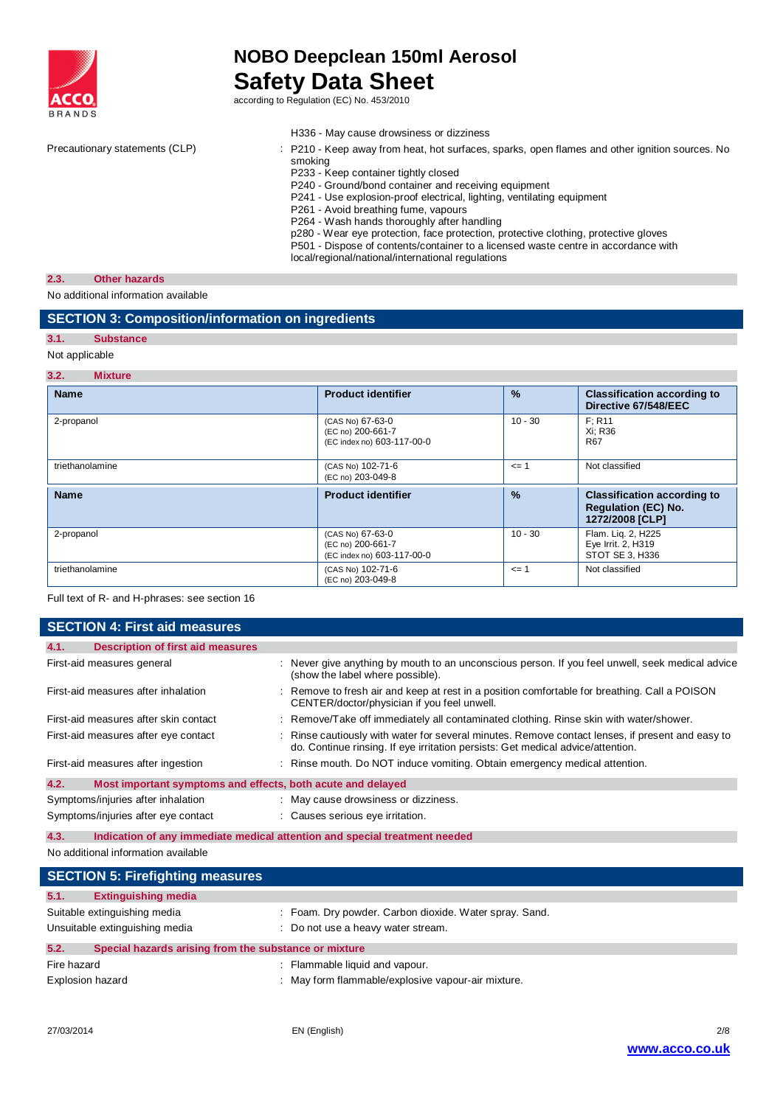

|                                | H336 - May cause drowsiness or dizziness                                                                                                                                                                                                                                                                                                                                                                                                                                                                                                                                                                     |
|--------------------------------|--------------------------------------------------------------------------------------------------------------------------------------------------------------------------------------------------------------------------------------------------------------------------------------------------------------------------------------------------------------------------------------------------------------------------------------------------------------------------------------------------------------------------------------------------------------------------------------------------------------|
| Precautionary statements (CLP) | : P210 - Keep away from heat, hot surfaces, sparks, open flames and other ignition sources. No<br>smoking<br>P233 - Keep container tightly closed<br>P240 - Ground/bond container and receiving equipment<br>P241 - Use explosion-proof electrical, lighting, ventilating equipment<br>P261 - Avoid breathing fume, vapours<br>P264 - Wash hands thoroughly after handling<br>p280 - Wear eye protection, face protection, protective clothing, protective gloves<br>P501 - Dispose of contents/container to a licensed waste centre in accordance with<br>local/regional/national/international regulations |
|                                |                                                                                                                                                                                                                                                                                                                                                                                                                                                                                                                                                                                                              |

## **2.3. Other hazards**

No additional information available

## **SECTION 3: Composition/information on ingredients**

## **3.1. Substance**

## Not applicable

#### **3.2. Mixture**

| <b>Name</b>     | <b>Product identifier</b>                                           | $\frac{9}{6}$ | <b>Classification according to</b><br>Directive 67/548/EEC                          |  |  |
|-----------------|---------------------------------------------------------------------|---------------|-------------------------------------------------------------------------------------|--|--|
| 2-propanol      | (CAS No) 67-63-0<br>(EC no) 200-661-7<br>(EC index no) 603-117-00-0 | $10 - 30$     | F: R11<br>Xi: R36<br><b>R67</b>                                                     |  |  |
| triethanolamine | (CAS No) 102-71-6<br>(EC no) 203-049-8                              | $\leq$ = 1    | Not classified                                                                      |  |  |
| <b>Name</b>     | <b>Product identifier</b>                                           | $\frac{9}{6}$ | <b>Classification according to</b><br><b>Requlation (EC) No.</b><br>1272/2008 [CLP] |  |  |
| 2-propanol      | (CAS No) 67-63-0<br>(EC no) 200-661-7<br>(EC index no) 603-117-00-0 | $10 - 30$     | Flam. Lig. 2, H225<br>Eye Irrit. 2, H319<br>STOT SE 3, H336                         |  |  |
| triethanolamine | (CAS No) 102-71-6<br>(EC no) 203-049-8                              | $\leq$ = 1    | Not classified                                                                      |  |  |

#### Full text of R- and H-phrases: see section 16

| <b>SECTION 4: First aid measures</b> |                                                             |  |                                                                                                                                                                                   |  |
|--------------------------------------|-------------------------------------------------------------|--|-----------------------------------------------------------------------------------------------------------------------------------------------------------------------------------|--|
| 4.1.                                 | <b>Description of first aid measures</b>                    |  |                                                                                                                                                                                   |  |
|                                      | First-aid measures general                                  |  | Never give anything by mouth to an unconscious person. If you feel unwell, seek medical advice<br>(show the label where possible).                                                |  |
|                                      | First-aid measures after inhalation                         |  | Remove to fresh air and keep at rest in a position comfortable for breathing. Call a POISON<br>CENTER/doctor/physician if you feel unwell.                                        |  |
|                                      | First-aid measures after skin contact                       |  | : Remove/Take off immediately all contaminated clothing. Rinse skin with water/shower.                                                                                            |  |
|                                      | First-aid measures after eye contact                        |  | Rinse cautiously with water for several minutes. Remove contact lenses, if present and easy to<br>do. Continue rinsing. If eye irritation persists: Get medical advice/attention. |  |
|                                      | First-aid measures after ingestion                          |  | : Rinse mouth. Do NOT induce vomiting. Obtain emergency medical attention.                                                                                                        |  |
| 4.2.                                 | Most important symptoms and effects, both acute and delayed |  |                                                                                                                                                                                   |  |
|                                      | Symptoms/injuries after inhalation                          |  | : May cause drowsiness or dizziness.                                                                                                                                              |  |
|                                      | Symptoms/injuries after eye contact                         |  | Causes serious eye irritation.                                                                                                                                                    |  |

**4.3. Indication of any immediate medical attention and special treatment needed**

No additional information available

| <b>SECTION 5: Firefighting measures</b>                       |                                                        |  |  |  |
|---------------------------------------------------------------|--------------------------------------------------------|--|--|--|
| 5.1.<br><b>Extinguishing media</b>                            |                                                        |  |  |  |
| Suitable extinguishing media                                  | : Foam. Dry powder. Carbon dioxide. Water spray. Sand. |  |  |  |
| Unsuitable extinguishing media                                | Do not use a heavy water stream.                       |  |  |  |
| 5.2.<br>Special hazards arising from the substance or mixture |                                                        |  |  |  |
| Fire hazard                                                   | : Flammable liquid and vapour.                         |  |  |  |
| Explosion hazard                                              | May form flammable/explosive vapour-air mixture.       |  |  |  |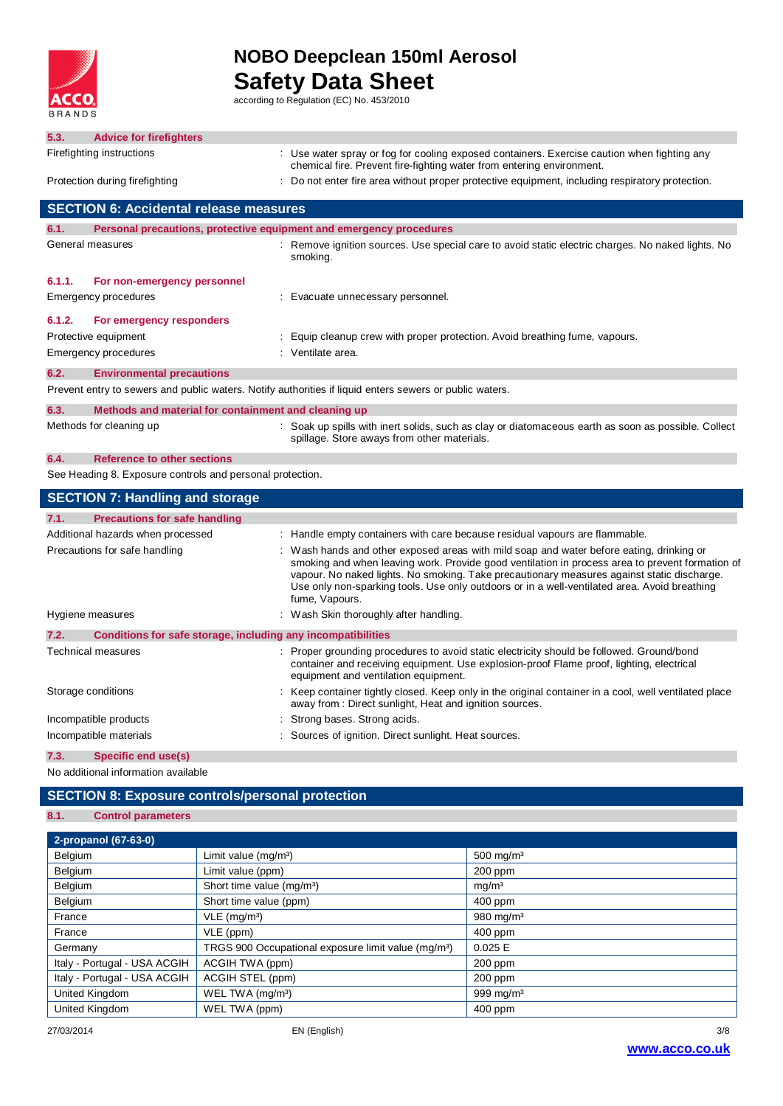

I

# **NOBO Deepclean 150ml Aerosol Safety Data Sheet**<br>according to Regulation (EC) No. 453/2010

| 5.3.   | <b>Advice for firefighters</b>                                      |                                                                                                                                                                                                                                                                                                                                                                                                           |
|--------|---------------------------------------------------------------------|-----------------------------------------------------------------------------------------------------------------------------------------------------------------------------------------------------------------------------------------------------------------------------------------------------------------------------------------------------------------------------------------------------------|
|        | Firefighting instructions                                           | Use water spray or fog for cooling exposed containers. Exercise caution when fighting any                                                                                                                                                                                                                                                                                                                 |
|        |                                                                     | chemical fire. Prevent fire-fighting water from entering environment.                                                                                                                                                                                                                                                                                                                                     |
|        | Protection during firefighting                                      | Do not enter fire area without proper protective equipment, including respiratory protection.                                                                                                                                                                                                                                                                                                             |
|        | <b>SECTION 6: Accidental release measures</b>                       |                                                                                                                                                                                                                                                                                                                                                                                                           |
| 6.1.   | Personal precautions, protective equipment and emergency procedures |                                                                                                                                                                                                                                                                                                                                                                                                           |
|        | General measures                                                    | Remove ignition sources. Use special care to avoid static electric charges. No naked lights. No<br>smoking.                                                                                                                                                                                                                                                                                               |
| 6.1.1. | For non-emergency personnel                                         |                                                                                                                                                                                                                                                                                                                                                                                                           |
|        | Emergency procedures                                                | Evacuate unnecessary personnel.                                                                                                                                                                                                                                                                                                                                                                           |
| 6.1.2. | For emergency responders                                            |                                                                                                                                                                                                                                                                                                                                                                                                           |
|        | Protective equipment                                                | : Equip cleanup crew with proper protection. Avoid breathing fume, vapours.                                                                                                                                                                                                                                                                                                                               |
|        | <b>Emergency procedures</b>                                         | : Ventilate area.                                                                                                                                                                                                                                                                                                                                                                                         |
| 6.2.   | <b>Environmental precautions</b>                                    |                                                                                                                                                                                                                                                                                                                                                                                                           |
|        |                                                                     | Prevent entry to sewers and public waters. Notify authorities if liquid enters sewers or public waters.                                                                                                                                                                                                                                                                                                   |
| 6.3.   | Methods and material for containment and cleaning up                |                                                                                                                                                                                                                                                                                                                                                                                                           |
|        | Methods for cleaning up                                             | : Soak up spills with inert solids, such as clay or diatomaceous earth as soon as possible. Collect<br>spillage. Store aways from other materials.                                                                                                                                                                                                                                                        |
| 6.4.   | <b>Reference to other sections</b>                                  |                                                                                                                                                                                                                                                                                                                                                                                                           |
|        | See Heading 8. Exposure controls and personal protection.           |                                                                                                                                                                                                                                                                                                                                                                                                           |
|        | <b>SECTION 7: Handling and storage</b>                              |                                                                                                                                                                                                                                                                                                                                                                                                           |
| 7.1.   | <b>Precautions for safe handling</b>                                |                                                                                                                                                                                                                                                                                                                                                                                                           |
|        | Additional hazards when processed                                   | : Handle empty containers with care because residual vapours are flammable.                                                                                                                                                                                                                                                                                                                               |
|        | Precautions for safe handling                                       | Wash hands and other exposed areas with mild soap and water before eating, drinking or<br>smoking and when leaving work. Provide good ventilation in process area to prevent formation of<br>vapour. No naked lights. No smoking. Take precautionary measures against static discharge.<br>Use only non-sparking tools. Use only outdoors or in a well-ventilated area. Avoid breathing<br>fume, Vapours. |
|        | Hygiene measures                                                    | : Wash Skin thoroughly after handling.                                                                                                                                                                                                                                                                                                                                                                    |
| 7.2.   | Conditions for safe storage, including any incompatibilities        |                                                                                                                                                                                                                                                                                                                                                                                                           |
|        | Technical measures                                                  | : Proper grounding procedures to avoid static electricity should be followed. Ground/bond<br>container and receiving equipment. Use explosion-proof Flame proof, lighting, electrical<br>equipment and ventilation equipment.                                                                                                                                                                             |
|        | Storage conditions                                                  | Keep container tightly closed. Keep only in the original container in a cool, well ventilated place<br>away from : Direct sunlight, Heat and ignition sources.                                                                                                                                                                                                                                            |
|        | Incompatible products                                               | Strong bases. Strong acids.                                                                                                                                                                                                                                                                                                                                                                               |

## Incompatible materials **incompatible materials** : Sources of ignition. Direct sunlight. Heat sources.

**7.3. Specific end use(s)** No additional information available

### **SECTION 8: Exposure controls/personal protection**

### **8.1. Control parameters**

| 2-propanol (67-63-0)         |                                                                 |                       |
|------------------------------|-----------------------------------------------------------------|-----------------------|
| Belgium                      | Limit value $(mg/m3)$                                           | 500 mg/m <sup>3</sup> |
| Belgium                      | Limit value (ppm)                                               | $200$ ppm             |
| Belgium                      | Short time value (mg/m <sup>3</sup> )                           | mg/m <sup>3</sup>     |
| Belgium                      | Short time value (ppm)                                          | 400 ppm               |
| France                       | $VLE$ (mg/m <sup>3</sup> )                                      | 980 mg/m <sup>3</sup> |
| France                       | VLE (ppm)                                                       | 400 ppm               |
| Germany                      | TRGS 900 Occupational exposure limit value (mg/m <sup>3</sup> ) | 0.025 E               |
| Italy - Portugal - USA ACGIH | ACGIH TWA (ppm)                                                 | 200 ppm               |
| Italy - Portugal - USA ACGIH | ACGIH STEL (ppm)                                                | $200$ ppm             |
| United Kingdom               | WEL TWA (mg/m <sup>3</sup> )                                    | 999 mg/m $3$          |
| United Kingdom               | WEL TWA (ppm)                                                   | $400$ ppm             |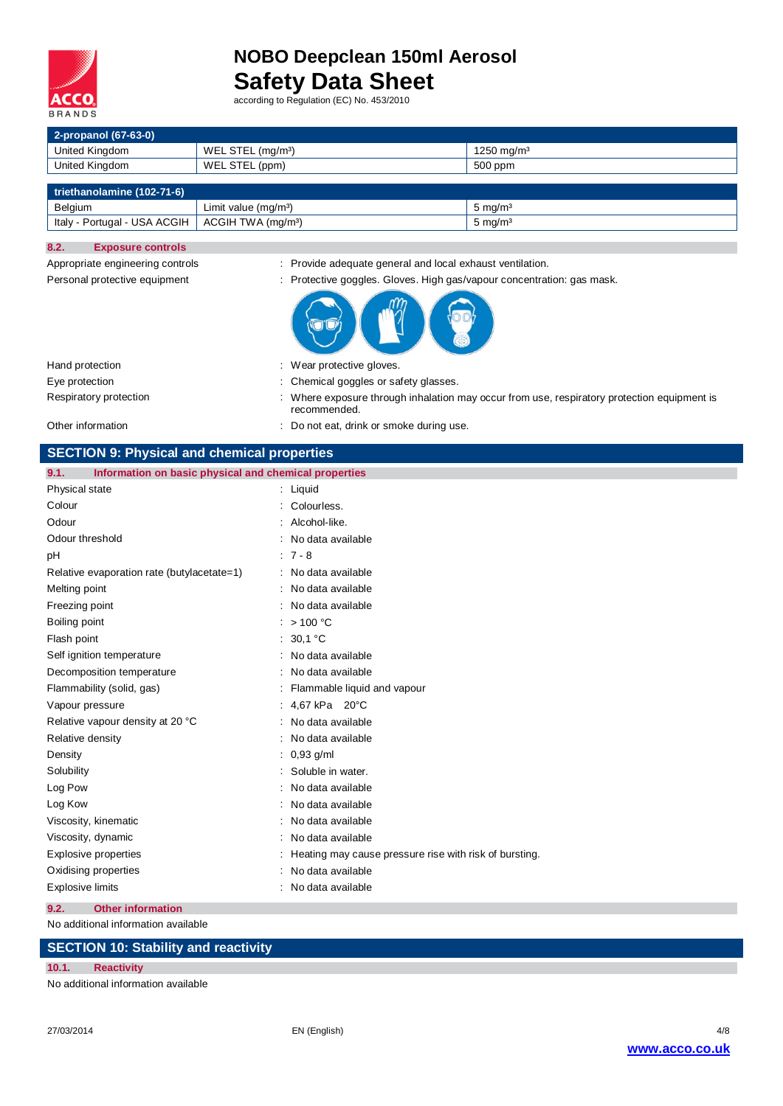

Appropriate engineering controls : Provide adequate general and local exhaust ventilation.

| 2-propanol (67-63-0)         |                                |                        |  |  |  |
|------------------------------|--------------------------------|------------------------|--|--|--|
| United Kingdom               | WEL STEL $(mg/m3)$             | 1250 mg/m <sup>3</sup> |  |  |  |
| United Kingdom               | WEL STEL (ppm)                 | 500 ppm                |  |  |  |
|                              |                                |                        |  |  |  |
| triethanolamine (102-71-6)   |                                |                        |  |  |  |
| Belgium                      | Limit value $(mq/m^3)$         | 5 mg/m <sup>3</sup>    |  |  |  |
| Italy - Portugal - USA ACGIH | ACGIH TWA (mg/m <sup>3</sup> ) | 5 mg/m <sup>3</sup>    |  |  |  |

#### **8.2. Exposure controls**

| Personal protective equipment | : Protective goggles. Gloves. High gas/vapour concentration: gas mask.                                      |
|-------------------------------|-------------------------------------------------------------------------------------------------------------|
|                               |                                                                                                             |
| Hand protection               | : Wear protective gloves.                                                                                   |
| Eye protection                | : Chemical goggles or safety glasses.                                                                       |
| Respiratory protection        | : Where exposure through inhalation may occur from use, respiratory protection equipment is<br>recommended. |
| Other information             | : Do not eat, drink or smoke during use.                                                                    |

|  | <b>SECTION 9: Physical and chemical properties</b> |  |
|--|----------------------------------------------------|--|
|--|----------------------------------------------------|--|

| 9.1.<br>Information on basic physical and chemical properties |                                                        |
|---------------------------------------------------------------|--------------------------------------------------------|
| Physical state                                                | $:$ Liquid                                             |
| Colour                                                        | : Colourless.                                          |
| Odour                                                         | Alcohol-like.                                          |
| Odour threshold                                               | No data available                                      |
| pH                                                            | $: 7 - 8$                                              |
| Relative evaporation rate (butylacetate=1)                    | : No data available                                    |
| Melting point                                                 | No data available                                      |
| Freezing point                                                | No data available                                      |
| Boiling point                                                 | : $> 100 °C$                                           |
| Flash point                                                   | 30.1 °C                                                |
| Self ignition temperature                                     | No data available                                      |
| Decomposition temperature                                     | No data available                                      |
| Flammability (solid, gas)                                     | Flammable liquid and vapour                            |
| Vapour pressure                                               | : 4,67 kPa 20°C                                        |
| Relative vapour density at 20 °C                              | No data available                                      |
| Relative density                                              | No data available                                      |
| Density                                                       | $0,93$ g/ml                                            |
| Solubility                                                    | Soluble in water.                                      |
| Log Pow                                                       | No data available                                      |
| Log Kow                                                       | No data available                                      |
| Viscosity, kinematic                                          | No data available                                      |
| Viscosity, dynamic                                            | : No data available                                    |
| Explosive properties                                          | Heating may cause pressure rise with risk of bursting. |
| Oxidising properties                                          | No data available                                      |
| <b>Explosive limits</b>                                       | : No data available                                    |

**9.2. Other information**

No additional information available

## **SECTION 10: Stability and reactivity**

#### **10.1. Reactivity**

No additional information available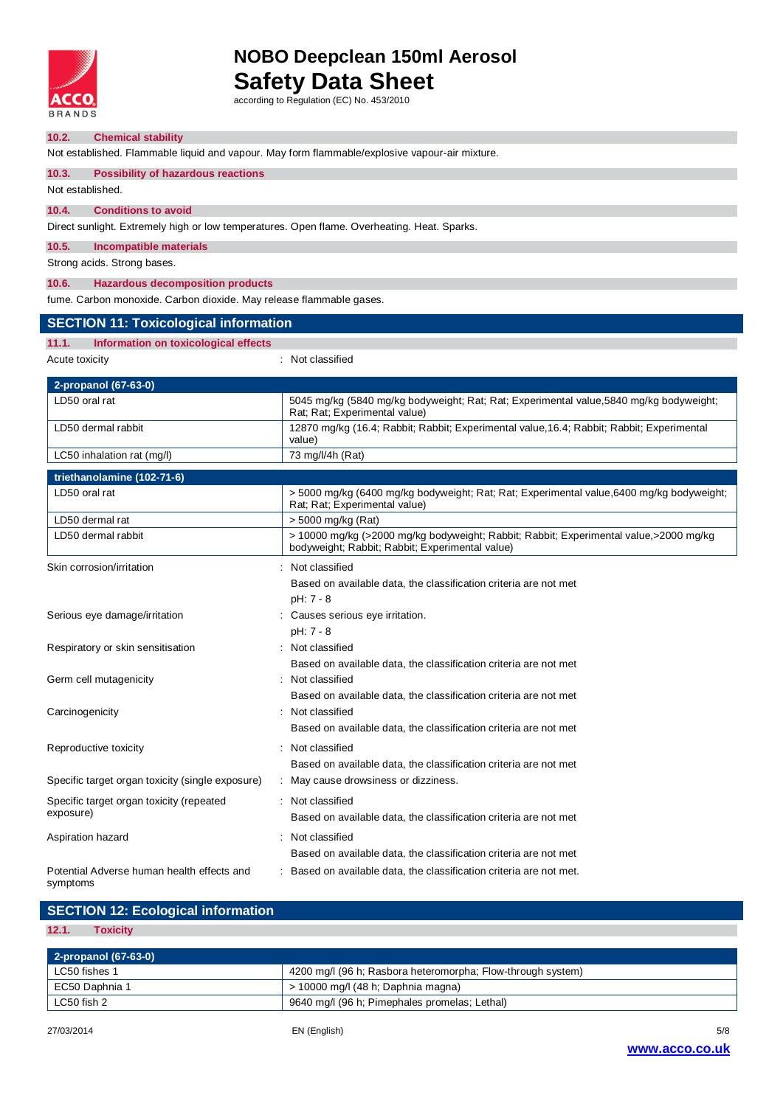

### **10.2. Chemical stability**

Not established. Flammable liquid and vapour. May form flammable/explosive vapour-air mixture.

#### **10.3. Possibility of hazardous reactions**

Not established.

### **10.4. Conditions to avoid**

Direct sunlight. Extremely high or low temperatures. Open flame. Overheating. Heat. Sparks.

#### **10.5. Incompatible materials**

Strong acids. Strong bases.

#### **10.6. Hazardous decomposition products**

fume. Carbon monoxide. Carbon dioxide. May release flammable gases.

## **SECTION 11: Toxicological information**

**11.1. Information on toxicological effects**

Acute toxicity **in the case of the contract of the classified** in Not classified

| 2-propanol (67-63-0)                                   |  |                                                                                                                                          |  |  |
|--------------------------------------------------------|--|------------------------------------------------------------------------------------------------------------------------------------------|--|--|
| LD50 oral rat                                          |  | 5045 mg/kg (5840 mg/kg bodyweight; Rat; Rat; Experimental value, 5840 mg/kg bodyweight;<br>Rat; Rat; Experimental value)                 |  |  |
| LD50 dermal rabbit                                     |  | 12870 mg/kg (16.4; Rabbit; Rabbit; Experimental value, 16.4; Rabbit; Rabbit; Experimental<br>value)                                      |  |  |
| LC50 inhalation rat (mg/l)                             |  | 73 mg/l/4h (Rat)                                                                                                                         |  |  |
| triethanolamine (102-71-6)                             |  |                                                                                                                                          |  |  |
| LD50 oral rat                                          |  | > 5000 mg/kg (6400 mg/kg bodyweight; Rat; Rat; Experimental value, 6400 mg/kg bodyweight;<br>Rat; Rat; Experimental value)               |  |  |
| LD50 dermal rat                                        |  | > 5000 mg/kg (Rat)                                                                                                                       |  |  |
| LD50 dermal rabbit                                     |  | > 10000 mg/kg (>2000 mg/kg bodyweight; Rabbit; Rabbit; Experimental value,>2000 mg/kg<br>bodyweight; Rabbit; Rabbit; Experimental value) |  |  |
| Skin corrosion/irritation                              |  | Not classified                                                                                                                           |  |  |
|                                                        |  | Based on available data, the classification criteria are not met                                                                         |  |  |
|                                                        |  | pH: 7 - 8                                                                                                                                |  |  |
| Serious eye damage/irritation                          |  | Causes serious eye irritation.                                                                                                           |  |  |
|                                                        |  | pH: 7 - 8                                                                                                                                |  |  |
| Respiratory or skin sensitisation                      |  | Not classified                                                                                                                           |  |  |
|                                                        |  | Based on available data, the classification criteria are not met                                                                         |  |  |
| Germ cell mutagenicity                                 |  | Not classified                                                                                                                           |  |  |
|                                                        |  | Based on available data, the classification criteria are not met                                                                         |  |  |
| Carcinogenicity                                        |  | Not classified                                                                                                                           |  |  |
|                                                        |  | Based on available data, the classification criteria are not met                                                                         |  |  |
| Reproductive toxicity                                  |  | : Not classified                                                                                                                         |  |  |
|                                                        |  | Based on available data, the classification criteria are not met                                                                         |  |  |
| Specific target organ toxicity (single exposure)       |  | May cause drowsiness or dizziness.                                                                                                       |  |  |
| Specific target organ toxicity (repeated               |  | Not classified                                                                                                                           |  |  |
| exposure)                                              |  | Based on available data, the classification criteria are not met                                                                         |  |  |
| Aspiration hazard                                      |  | Not classified                                                                                                                           |  |  |
|                                                        |  | Based on available data, the classification criteria are not met                                                                         |  |  |
| Potential Adverse human health effects and<br>symptoms |  | Based on available data, the classification criteria are not met.                                                                        |  |  |

### **SECTION 12: Ecological information**

#### **12.1. Toxicity**

| $\blacksquare$ 2-propanol (67-63-0) |                                                             |
|-------------------------------------|-------------------------------------------------------------|
| LC50 fishes 1                       | 4200 mg/l (96 h; Rasbora heteromorpha; Flow-through system) |
| EC50 Daphnia 1                      | > 10000 mg/l (48 h; Daphnia magna)                          |
| ່ LC50 fish 2                       | 9640 mg/l (96 h; Pimephales promelas; Lethal)               |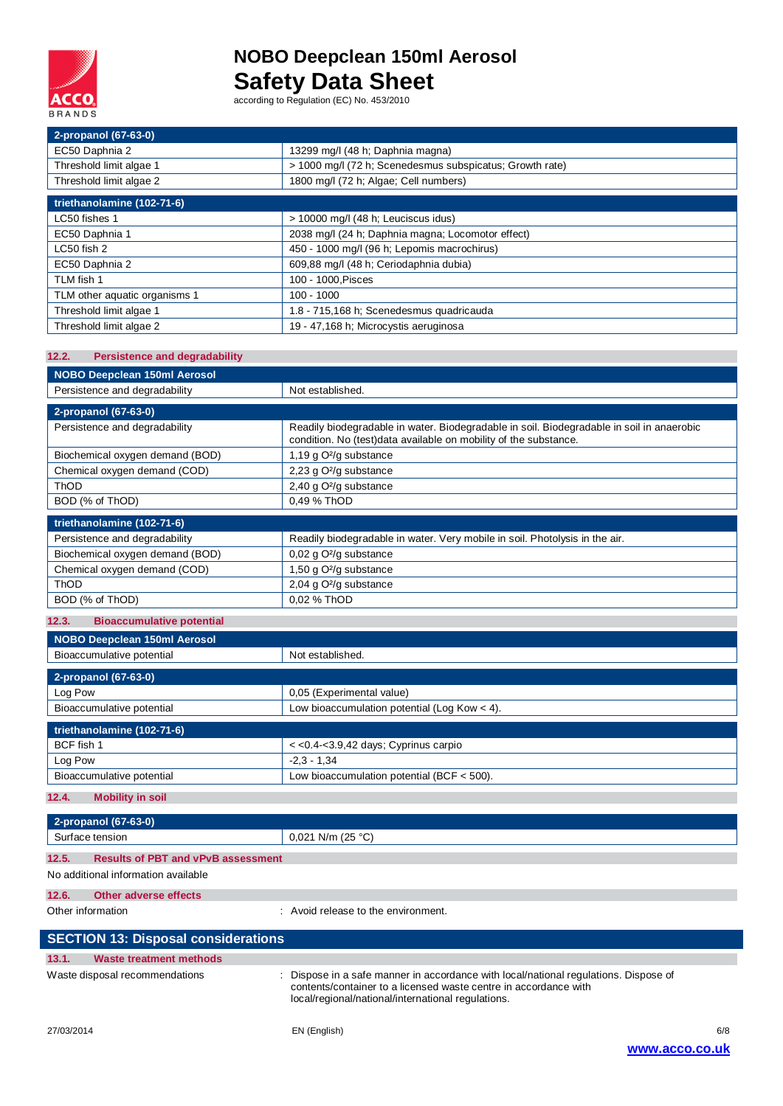

| 2-propanol (67-63-0)          |                                                          |
|-------------------------------|----------------------------------------------------------|
| EC50 Daphnia 2                | 13299 mg/l (48 h; Daphnia magna)                         |
| Threshold limit algae 1       | > 1000 mg/l (72 h; Scenedesmus subspicatus; Growth rate) |
| Threshold limit algae 2       | 1800 mg/l (72 h; Algae; Cell numbers)                    |
| triethanolamine (102-71-6)    |                                                          |
| LC50 fishes 1                 | > 10000 mg/l (48 h; Leuciscus idus)                      |
| EC50 Daphnia 1                | 2038 mg/l (24 h; Daphnia magna; Locomotor effect)        |
| LC50 fish 2                   | 450 - 1000 mg/l (96 h; Lepomis macrochirus)              |
| EC50 Daphnia 2                | 609,88 mg/l (48 h; Ceriodaphnia dubia)                   |
| TLM fish 1                    | 100 - 1000, Pisces                                       |
| TLM other aquatic organisms 1 | $100 - 1000$                                             |
| Threshold limit algae 1       | 1.8 - 715,168 h; Scenedesmus quadricauda                 |
| Threshold limit algae 2       | 19 - 47,168 h; Microcystis aeruginosa                    |

| <b>Persistence and degradability</b><br>12.2. |                                                                                                                                                               |  |
|-----------------------------------------------|---------------------------------------------------------------------------------------------------------------------------------------------------------------|--|
| <b>NOBO Deepclean 150ml Aerosol</b>           |                                                                                                                                                               |  |
| Persistence and degradability                 | Not established.                                                                                                                                              |  |
| 2-propanol (67-63-0)                          |                                                                                                                                                               |  |
| Persistence and degradability                 | Readily biodegradable in water. Biodegradable in soil. Biodegradable in soil in anaerobic<br>condition. No (test)data available on mobility of the substance. |  |
| Biochemical oxygen demand (BOD)               | 1,19 g O <sup>2</sup> /g substance                                                                                                                            |  |
| Chemical oxygen demand (COD)                  | 2,23 g O <sup>2</sup> /g substance                                                                                                                            |  |
| ThOD                                          | 2,40 g O <sup>2</sup> /g substance                                                                                                                            |  |
| BOD (% of ThOD)                               | 0,49 % ThOD                                                                                                                                                   |  |
| triethanolamine (102-71-6)                    |                                                                                                                                                               |  |
| Persistence and degradability                 | Readily biodegradable in water. Very mobile in soil. Photolysis in the air.                                                                                   |  |
| Biochemical oxygen demand (BOD)               | 0,02 g O <sup>2</sup> /g substance                                                                                                                            |  |
| Chemical oxygen demand (COD)                  | 1,50 g O <sup>2</sup> /g substance                                                                                                                            |  |
| ThOD                                          | 2,04 g O <sup>2</sup> /g substance                                                                                                                            |  |
| BOD (% of ThOD)                               | 0.02 % ThOD                                                                                                                                                   |  |
| <b>Bioaccumulative potential</b><br>12.3.     |                                                                                                                                                               |  |
| <b>NOBO Deepclean 150ml Aerosol</b>           |                                                                                                                                                               |  |
| Bioaccumulative potential                     | Not established.                                                                                                                                              |  |
|                                               |                                                                                                                                                               |  |
| 2-propanol (67-63-0)<br>Log Pow               |                                                                                                                                                               |  |
| Bioaccumulative potential                     | 0,05 (Experimental value)<br>Low bioaccumulation potential (Log Kow < 4).                                                                                     |  |
|                                               |                                                                                                                                                               |  |
| triethanolamine (102-71-6)                    |                                                                                                                                                               |  |
| BCF fish 1                                    | << 0.4-< 3.9, 42 days; Cyprinus carpio                                                                                                                        |  |
| Log Pow                                       | $-2.3 - 1.34$                                                                                                                                                 |  |
| Bioaccumulative potential                     | Low bioaccumulation potential (BCF $<$ 500).                                                                                                                  |  |
| 12.4.<br><b>Mobility in soil</b>              |                                                                                                                                                               |  |
|                                               |                                                                                                                                                               |  |
| 2-propanol (67-63-0)                          |                                                                                                                                                               |  |
| Surface tension                               | $0,021$ N/m (25 °C)                                                                                                                                           |  |

| 12.5.                               | <b>Results of PBT and vPvB assessment</b> |  |
|-------------------------------------|-------------------------------------------|--|
| No additional information available |                                           |  |

## **12.6. Other adverse effects**

Other information  $\qquad \qquad$ : Avoid release to the environment.

| <b>SECTION 13: Disposal considerations</b> |                                                                                                                                                                                                                |
|--------------------------------------------|----------------------------------------------------------------------------------------------------------------------------------------------------------------------------------------------------------------|
| 13.1.<br><b>Waste treatment methods</b>    |                                                                                                                                                                                                                |
| Waste disposal recommendations             | : Dispose in a safe manner in accordance with local/national regulations. Dispose of<br>contents/container to a licensed waste centre in accordance with<br>local/regional/national/international regulations. |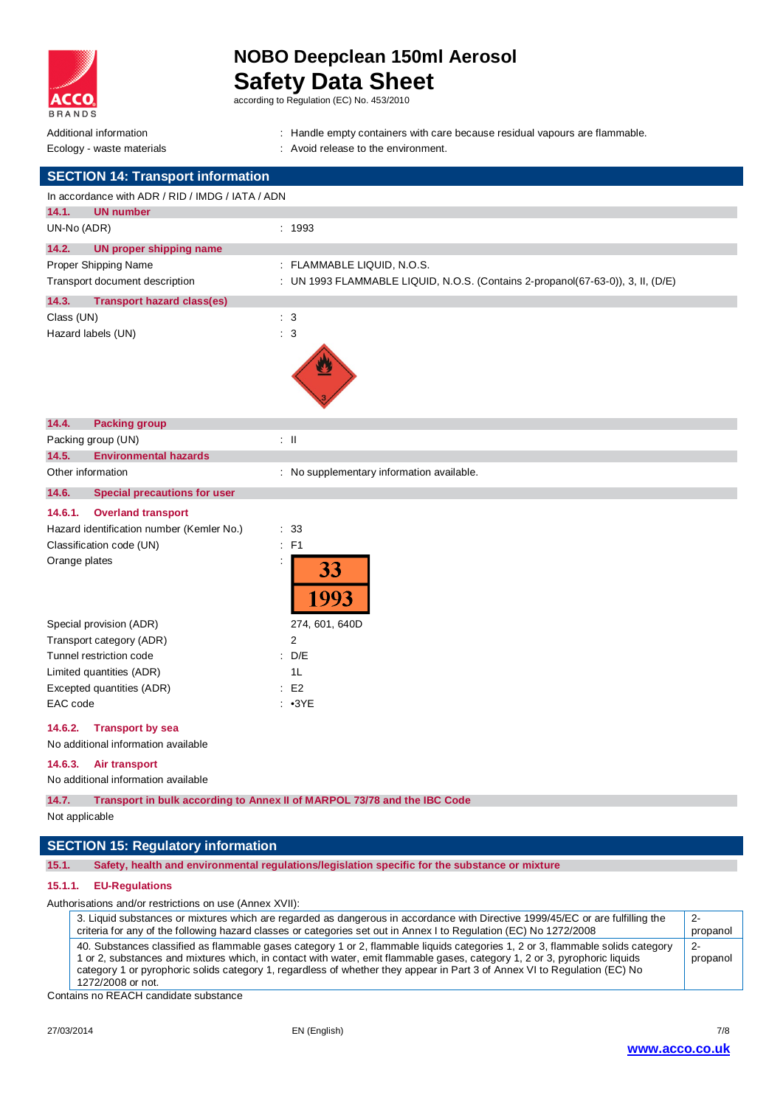

## **NOBO Deepclean 150ml Aerosol Safety Data Sheet**

according to Regulation (EC) No. 453/2010

- Additional information **income in the containers** : Handle empty containers with care because residual vapours are flammable.
- 
- Ecology waste materials **Example 20** and  $\overline{a}$  . Avoid release to the environment.

| <b>SECTION 14: Transport information</b>                                  |                                                                                 |
|---------------------------------------------------------------------------|---------------------------------------------------------------------------------|
| In accordance with ADR / RID / IMDG / IATA / ADN                          |                                                                                 |
| 14.1.<br><b>UN number</b>                                                 |                                                                                 |
| UN-No (ADR)                                                               | : 1993                                                                          |
| 14.2.<br><b>UN proper shipping name</b>                                   |                                                                                 |
| Proper Shipping Name                                                      | : FLAMMABLE LIQUID, N.O.S.                                                      |
| Transport document description                                            | : UN 1993 FLAMMABLE LIQUID, N.O.S. (Contains 2-propanol(67-63-0)), 3, II, (D/E) |
| 14.3.<br><b>Transport hazard class(es)</b>                                |                                                                                 |
| Class (UN)                                                                | $\therefore$ 3                                                                  |
| Hazard labels (UN)                                                        | $\therefore$ 3                                                                  |
| 14.4.<br><b>Packing group</b>                                             |                                                                                 |
| Packing group (UN)                                                        | $\therefore$ $\blacksquare$                                                     |
| 14.5.<br><b>Environmental hazards</b>                                     |                                                                                 |
| Other information                                                         | : No supplementary information available.                                       |
| 14.6.<br><b>Special precautions for user</b>                              |                                                                                 |
| <b>Overland transport</b><br>14.6.1.                                      |                                                                                 |
| Hazard identification number (Kemler No.)                                 | ÷<br>33                                                                         |
| Classification code (UN)                                                  | F1<br>÷                                                                         |
| Orange plates                                                             | 33<br>993                                                                       |
| Special provision (ADR)                                                   | 274, 601, 640D                                                                  |
| Transport category (ADR)                                                  | $\overline{2}$                                                                  |
| Tunnel restriction code                                                   | D/E<br>÷                                                                        |
| Limited quantities (ADR)                                                  | 1L                                                                              |
| Excepted quantities (ADR)                                                 | E <sub>2</sub><br>÷                                                             |
| EAC code                                                                  | : 93YE                                                                          |
| <b>Transport by sea</b><br>14.6.2.<br>No additional information available |                                                                                 |
| 14.6.3.<br>Air transport                                                  |                                                                                 |

No additional information available

**14.7. Transport in bulk according to Annex II of MARPOL 73/78 and the IBC Code**

Not applicable

## **SECTION 15: Regulatory information**

**15.1. Safety, health and environmental regulations/legislation specific for the substance or mixture**

### **15.1.1. EU-Regulations**

Authorisations and/or restrictions on use (Annex XVII):

| 3. Liquid substances or mixtures which are regarded as dangerous in accordance with Directive 1999/45/EC or are fulfilling the<br>criteria for any of the following hazard classes or categories set out in Annex I to Regulation (EC) No 1272/2008                                                                                                                                                             | $2 -$<br>propanol |
|-----------------------------------------------------------------------------------------------------------------------------------------------------------------------------------------------------------------------------------------------------------------------------------------------------------------------------------------------------------------------------------------------------------------|-------------------|
| 40. Substances classified as flammable gases category 1 or 2, flammable liquids categories 1, 2 or 3, flammable solids category<br>1 or 2, substances and mixtures which, in contact with water, emit flammable gases, category 1, 2 or 3, pyrophoric liquids<br>category 1 or pyrophoric solids category 1, regardless of whether they appear in Part 3 of Annex VI to Regulation (EC) No<br>1272/2008 or not. | -2-<br>propanol   |

Contains no REACH candidate substance